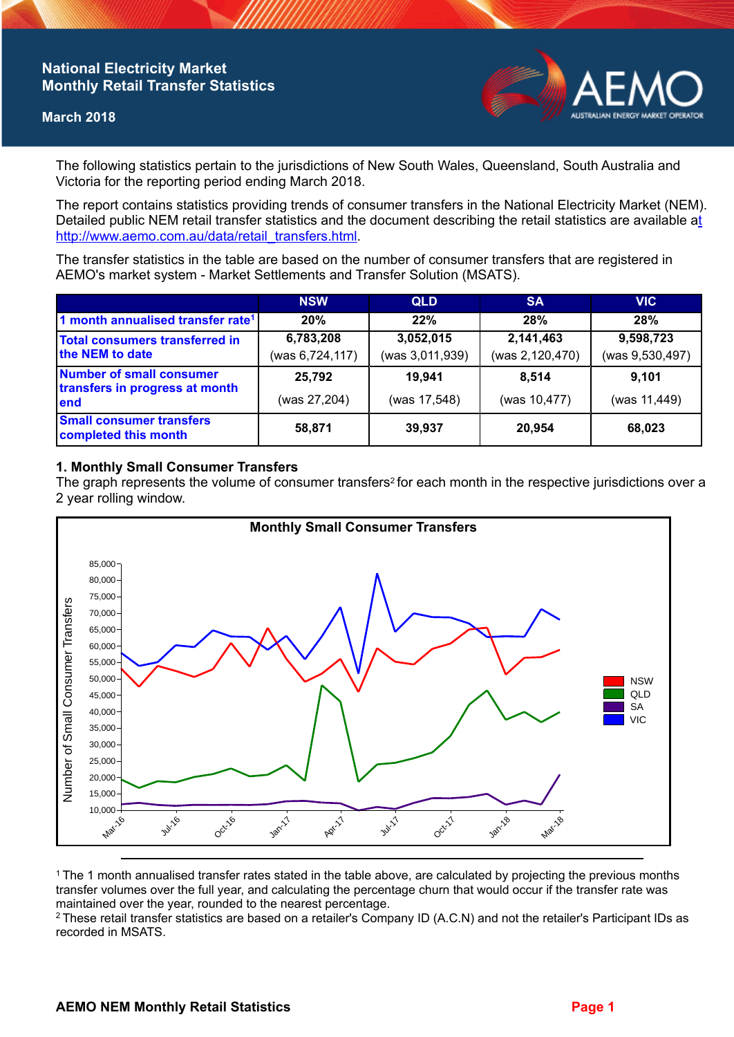# **National Electricity Market Monthly Retail Transfer Statistics**

#### **March 2018**



The following statistics pertain to the jurisdictions of New South Wales, Queensland, South Australia and Victoria for the reporting period ending March 2018.

The report contains statistics providing trends of consumer transfers in the National Electricity Market (NEM). Detailed public NEM retail transfer statistics and the document describing the retail statistics are available a[t](http://www.aemo.com.au/data/retail_transfers.html)  http://www.aemo.com.au/data/retail\_transfers.html

The transfer statistics in the table are based on the number of consumer transfers that are registered in AEMO's market system - Market Settlements and Transfer Solution (MSATS).

|                                                                           | <b>NSW</b>                   | <b>QLD</b>                   | <b>SA</b>                    | <b>VIC</b>                   |
|---------------------------------------------------------------------------|------------------------------|------------------------------|------------------------------|------------------------------|
| 1 month annualised transfer rate <sup>1</sup>                             | 20%                          | 22%                          | 28%                          | 28%                          |
| Total consumers transferred in<br>the NEM to date                         | 6,783,208<br>(was 6,724,117) | 3,052,015<br>(was 3,011,939) | 2,141,463<br>(was 2,120,470) | 9,598,723<br>(was 9,530,497) |
| <b>Number of small consumer</b><br>transfers in progress at month<br>lend | 25,792<br>(was 27,204)       | 19.941<br>(was 17,548)       | 8.514<br>(was 10,477)        | 9,101<br>(was 11,449)        |
| <b>Small consumer transfers</b><br>completed this month                   | 58,871                       | 39,937                       | 20,954                       | 68,023                       |

## **1. Monthly Small Consumer Transfers**

The graph represents the volume of consumer transfers<sup>2</sup> for each month in the respective jurisdictions over a 2 year rolling window.



<sup>1</sup>The 1 month annualised transfer rates stated in the table above, are calculated by projecting the previous months transfer volumes over the full year, and calculating the percentage churn that would occur if the transfer rate was maintained over the year, rounded to the nearest percentage.

<sup>2</sup> These retail transfer statistics are based on a retailer's Company ID (A.C.N) and not the retailer's Participant IDs as recorded in MSATS.